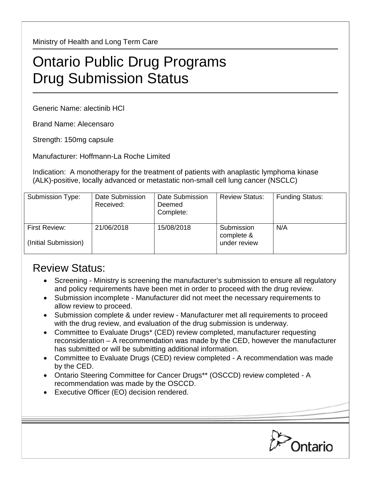Ministry of Health and Long Term Care

## Ontario Public Drug Programs Drug Submission Status

Generic Name: alectinib HCl

Brand Name: Alecensaro

Strength: 150mg capsule

Manufacturer: Hoffmann-La Roche Limited

Indication: A monotherapy for the treatment of patients with anaplastic lymphoma kinase (ALK)-positive, locally advanced or metastatic non-small cell lung cancer (NSCLC)

| Submission Type:                      | Date Submission<br>Received: | Date Submission<br>Deemed<br>Complete: | <b>Review Status:</b>                    | <b>Funding Status:</b> |
|---------------------------------------|------------------------------|----------------------------------------|------------------------------------------|------------------------|
| First Review:<br>(Initial Submission) | 21/06/2018                   | 15/08/2018                             | Submission<br>complete &<br>under review | N/A                    |

## Review Status:

- Screening Ministry is screening the manufacturer's submission to ensure all regulatory and policy requirements have been met in order to proceed with the drug review.
- Submission incomplete Manufacturer did not meet the necessary requirements to allow review to proceed.
- Submission complete & under review Manufacturer met all requirements to proceed with the drug review, and evaluation of the drug submission is underway.
- Committee to Evaluate Drugs\* (CED) review completed, manufacturer requesting reconsideration – A recommendation was made by the CED, however the manufacturer has submitted or will be submitting additional information.
- Committee to Evaluate Drugs (CED) review completed A recommendation was made by the CED.
- Ontario Steering Committee for Cancer Drugs\*\* (OSCCD) review completed A recommendation was made by the OSCCD.
- Executive Officer (EO) decision rendered.